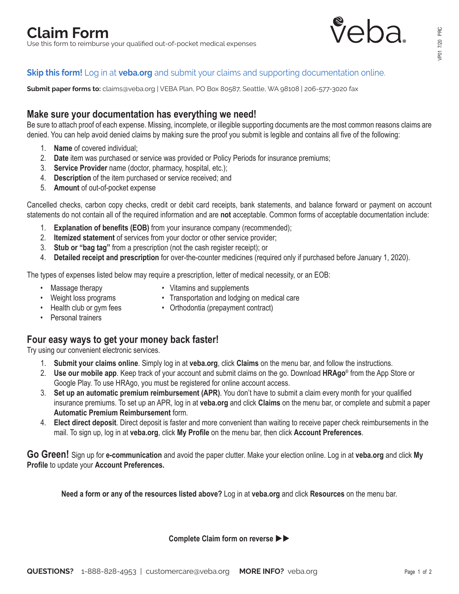

# **Skip this form!** Log in at **veba.org** [and submit your claims and supporting documentation online](https://portal.veba.org/).

**Submit paper forms to:** claims@veba.org | VEBA Plan, PO Box 80587, Seattle, WA 98108 | 206-577-3020 fax

## **Make sure your documentation has everything we need!**

Be sure to attach proof of each expense. Missing, incomplete, or illegible supporting documents are the most common reasons claims are denied. You can help avoid denied claims by making sure the proof you submit is legible and contains all five of the following:

- 1. **Name** of covered individual;
- 2. **Date** item was purchased or service was provided or Policy Periods for insurance premiums;
- 3. **Service Provider** name (doctor, pharmacy, hospital, etc.);
- 4. **Description** of the item purchased or service received; and
- 5. **Amount** of out-of-pocket expense

Cancelled checks, carbon copy checks, credit or debit card receipts, bank statements, and balance forward or payment on account statements do not contain all of the required information and are **not** acceptable. Common forms of acceptable documentation include:

- 1. **Explanation of benefits (EOB)** from your insurance company (recommended);
- 2. **Itemized statement** of services from your doctor or other service provider;
- 3. **Stub or "bag tag"** from a prescription (not the cash register receipt); or
- 4. **Detailed receipt and prescription** for over-the-counter medicines (required only if purchased before January 1, 2020).

The types of expenses listed below may require a prescription, letter of medical necessity, or an EOB:

- 
- Massage therapy Vitamins and supplements
- Weight loss programs Transportation and lodging on medical care
- 
- Health club or gym fees Orthodontia (prepayment contract)
- Personal trainers

## **Four easy ways to get your money back faster!**

Try using our convenient electronic services.

- 1. **Submit your claims online**. Simply log in at **veba.org**, click **Claims** on the menu bar, and follow the instructions.
- 2. **Use our mobile app**. Keep track of your account and submit claims on the go. Download **HRAgo**® from the App Store or Google Play. To use HRAgo, you must be registered for online account access.
- 3. **Set up an automatic premium reimbursement (APR)**. You don't have to submit a claim every month for your qualified insurance premiums. To set up an APR, log in at **veba.org** and click **Claims** on the menu bar, or complete and submit a paper **Automatic Premium Reimbursement** form.
- 4. **Elect direct deposit**. Direct deposit is faster and more convenient than waiting to receive paper check reimbursements in the mail. To sign up, log in at **veba.org**, click **My Profile** on the menu bar, then click **Account Preferences**.

**Go Green!** Sign up for **e-communication** and avoid the paper clutter. Make your election online. Log in at **veba.org** and click **My Profile** to update your **Account Preferences.**

**Need a form or any of the resources listed above?** Log in at **veba.org** and click **Resources** on the menu bar.

**Complete Claim form on reverse**  $\blacktriangleright$